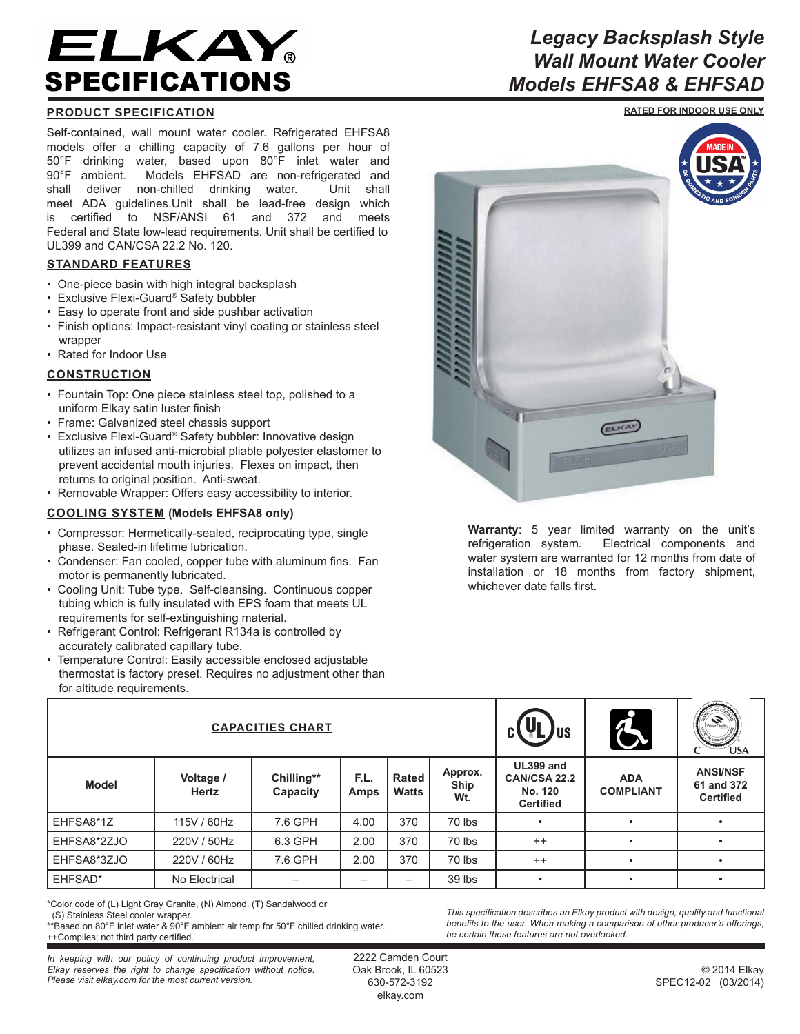# ELKAY。 SPECIFICATIONS

# **PRODUCT SPECIFICATION**

Self-contained, wall mount water cooler. Refrigerated EHFSA8 models offer a chilling capacity of 7.6 gallons per hour of 50°F drinking water, based upon 80°F inlet water and 90°F ambient. Models EHFSAD are non-refrigerated and shall deliver non-chilled drinking water. Unit shall meet ADA guidelines.Unit shall be lead-free design which is certified to NSF/ANSI 61 and 372 and meets Federal and State low-lead requirements. Unit shall be certified to UL399 and CAN/CSA 22.2 No. 120.

## **STANDARD FEATURES**

- One-piece basin with high integral backsplash
- Exclusive Flexi-Guard® Safety bubbler
- Easy to operate front and side pushbar activation
- Finish options: Impact-resistant vinyl coating or stainless steel wrapper
- Rated for Indoor Use

### **CONSTRUCTION**

- Fountain Top: One piece stainless steel top, polished to a uniform Elkay satin luster finish
- Frame: Galvanized steel chassis support
- Exclusive Flexi-Guard® Safety bubbler: Innovative design utilizes an infused anti-microbial pliable polyester elastomer to prevent accidental mouth injuries. Flexes on impact, then returns to original position. Anti-sweat.
- Removable Wrapper: Offers easy accessibility to interior.

### **COOLING SYSTEM (Models EHFSA8 only)**

- Compressor: Hermetically-sealed, reciprocating type, single phase. Sealed-in lifetime lubrication.
- Condenser: Fan cooled, copper tube with aluminum fins. Fan motor is permanently lubricated.
- Cooling Unit: Tube type. Self-cleansing. Continuous copper tubing which is fully insulated with EPS foam that meets UL requirements for self-extinguishing material.
- Refrigerant Control: Refrigerant R134a is controlled by accurately calibrated capillary tube.
- Temperature Control: Easily accessible enclosed adjustable thermostat is factory preset. Requires no adjustment other than for altitude requirements.



**Warranty**: 5 year limited warranty on the unit's refrigeration system. Electrical components and water system are warranted for 12 months from date of installation or 18 months from factory shipment, whichever date falls first.

ELKAY

| <b>CAPACITIES CHART</b> |                    |                        |              |                       |                        | US                                                       | d                              | $\sum_{\text{Var}(O, \text{alt})}$<br><b>USA</b>  |
|-------------------------|--------------------|------------------------|--------------|-----------------------|------------------------|----------------------------------------------------------|--------------------------------|---------------------------------------------------|
| <b>Model</b>            | Voltage /<br>Hertz | Chilling**<br>Capacity | F.L.<br>Amps | <b>Rated</b><br>Watts | Approx.<br>Ship<br>Wt. | UL399 and<br>CAN/CSA 22.2<br>No. 120<br><b>Certified</b> | <b>ADA</b><br><b>COMPLIANT</b> | <b>ANSI/NSF</b><br>61 and 372<br><b>Certified</b> |
| EHFSA8*1Z               | 115V / 60Hz        | 7.6 GPH                | 4.00         | 370                   | 70 lbs                 |                                                          |                                |                                                   |
| EHFSA8*2ZJO             | 220V / 50Hz        | 6.3 GPH                | 2.00         | 370                   | 70 lbs                 | $++$                                                     |                                |                                                   |
| EHFSA8*3ZJO             | 220V / 60Hz        | 7.6 GPH                | 2.00         | 370                   | 70 lbs                 | $++$                                                     |                                |                                                   |
| EHFSAD*                 | No Electrical      |                        |              |                       | 39 lbs                 |                                                          |                                |                                                   |

\*Color code of (L) Light Gray Granite, (N) Almond, (T) Sandalwood or

\*\*Based on 80°F inlet water & 90°F ambient air temp for 50°F chilled drinking water. ++Complies; not third party certified.

*This specification describes an Elkay product with design, quality and functional benefits to the user. When making a comparison of other producer's offerings, be certain these features are not overlooked.*

*In keeping with our policy of continuing product improvement, Elkay reserves the right to change specification without notice. Please visit elkay.com for the most current version.*

2222 Camden Court Oak Brook, IL 60523 630-572-3192 elkay.com

© 2014 Elkay SPEC12-02 (03/2014)

# *Legacy Backsplash Style Wall Mount Water Cooler Models EHFSA8 & EHFSAD*

**RATED FOR INDOOR USE ONLY**

 <sup>(</sup>S) Stainless Steel cooler wrapper.